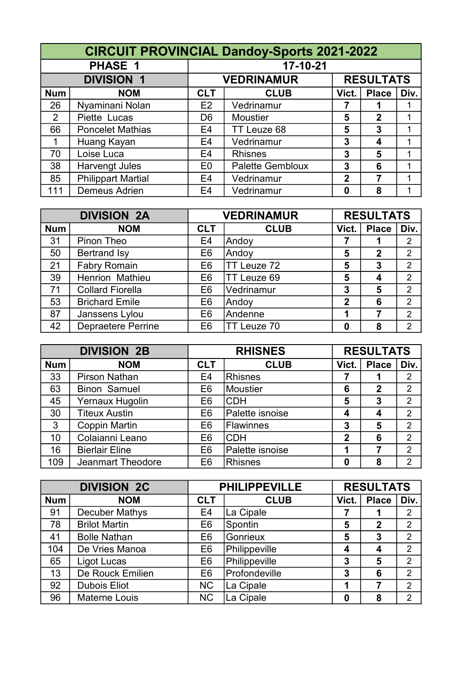|                | <b>CIRCUIT PROVINCIAL Dandoy-Sports 2021-2022</b> |                |                         |              |                  |      |  |  |  |
|----------------|---------------------------------------------------|----------------|-------------------------|--------------|------------------|------|--|--|--|
|                | PHASE 1                                           |                | 17-10-21                |              |                  |      |  |  |  |
|                | <b>DIVISION 1</b>                                 |                | <b>VEDRINAMUR</b>       |              | <b>RESULTATS</b> |      |  |  |  |
| <b>Num</b>     | <b>NOM</b>                                        | <b>CLT</b>     | <b>CLUB</b>             | Vict.        | <b>Place</b>     | Div. |  |  |  |
| 26             | Nyaminani Nolan                                   | E2             | Vedrinamur              |              |                  |      |  |  |  |
| $\overline{2}$ | Piette Lucas                                      | D <sub>6</sub> | <b>Moustier</b>         | 5            | $\mathbf 2$      |      |  |  |  |
| 66             | <b>Poncelet Mathias</b>                           | E <sub>4</sub> | TT Leuze 68             | 5            | 3                |      |  |  |  |
| 1              | Huang Kayan                                       | E <sub>4</sub> | Vedrinamur              | 3            | 4                |      |  |  |  |
| 70             | Loise Luca                                        | E4             | <b>Rhisnes</b>          | 3            | 5                |      |  |  |  |
| 38             | <b>Harvengt Jules</b>                             | E <sub>0</sub> | <b>Palette Gembloux</b> | 3            | 6                | 1    |  |  |  |
| 85             | <b>Philippart Martial</b>                         | E <sub>4</sub> | Vedrinamur              | $\mathbf{2}$ |                  | 1    |  |  |  |
| 111            | <b>Demeus Adrien</b>                              | E <sub>4</sub> | Vedrinamur              | 0            | 8                |      |  |  |  |

|            | <b>DIVISION 2A</b>        |                | <b>VEDRINAMUR</b>  |              | <b>RESULTATS</b> |                |
|------------|---------------------------|----------------|--------------------|--------------|------------------|----------------|
| <b>Num</b> | <b>NOM</b>                | <b>CLT</b>     | <b>CLUB</b>        | Vict.        | <b>Place</b>     | Div.           |
| 31         | Pinon Theo                | E <sub>4</sub> | Andoy              |              |                  | $\overline{2}$ |
| 50         | <b>Bertrand Isy</b>       | E <sub>6</sub> | Andoy              | 5            | $\mathbf 2$      | $\overline{2}$ |
| 21         | <b>Fabry Romain</b>       | E <sub>6</sub> | TT Leuze 72        | 5            | 3                | 2              |
| 39         | Henrion Mathieu           | E <sub>6</sub> | TT Leuze 69        | 5            | 4                | $\overline{2}$ |
| 71         | <b>Collard Fiorella</b>   | E <sub>6</sub> | Vedrinamur         | 3            | 5                | $\overline{2}$ |
| 53         | <b>Brichard Emile</b>     | E <sub>6</sub> | Andoy              | $\mathbf{2}$ | 6                | $\overline{2}$ |
| 87         | Janssens Lylou            | E <sub>6</sub> | Andenne            | 1            | 7                | $\overline{2}$ |
| 42         | <b>Depraetere Perrine</b> | E <sub>6</sub> | <b>TT Leuze 70</b> | 0            | 8                | 2              |

| <b>DIVISION 2B</b> |                       |                | <b>RHISNES</b>   |                | <b>RESULTATS</b> |                |  |
|--------------------|-----------------------|----------------|------------------|----------------|------------------|----------------|--|
| <b>Num</b>         | <b>NOM</b>            | <b>CLT</b>     | <b>CLUB</b>      | Vict.          | <b>Place</b>     | Div.           |  |
| 33                 | <b>Pirson Nathan</b>  | E <sub>4</sub> | <b>Rhisnes</b>   |                |                  | $\overline{2}$ |  |
| 63                 | <b>Binon Samuel</b>   | E <sub>6</sub> | Moustier         | 6              | $\mathbf 2$      | $\overline{2}$ |  |
| 45                 | Yernaux Hugolin       | E <sub>6</sub> | <b>CDH</b>       | 5              | 3                | $\overline{2}$ |  |
| 30                 | <b>Titeux Austin</b>  | E <sub>6</sub> | Palette isnoise  | 4              | 4                | $\overline{2}$ |  |
| $\mathbf{3}$       | <b>Coppin Martin</b>  | E <sub>6</sub> | <b>Flawinnes</b> | 3              | 5                | 2              |  |
| 10                 | Colaianni Leano       | E <sub>6</sub> | <b>CDH</b>       | $\overline{2}$ | 6                | $\overline{2}$ |  |
| 16                 | <b>Bierlair Eline</b> | E <sub>6</sub> | Palette isnoise  | 1              |                  | $\overline{2}$ |  |
| 109                | Jeanmart Theodore     | E <sub>6</sub> | <b>Rhisnes</b>   | 0              | 8                | 2              |  |

| <b>DIVISION 2C</b> |                       |                | <b>PHILIPPEVILLE</b> |       | <b>RESULTATS</b> |                |
|--------------------|-----------------------|----------------|----------------------|-------|------------------|----------------|
| <b>Num</b>         | <b>NOM</b>            | <b>CLT</b>     | <b>CLUB</b>          | Vict. | <b>Place</b>     | Div.           |
| 91                 | <b>Decuber Mathys</b> | E <sub>4</sub> | La Cipale            |       |                  | $\overline{2}$ |
| 78                 | <b>Brilot Martin</b>  | E <sub>6</sub> | Spontin              | 5     | $\mathbf 2$      | $\overline{2}$ |
| 41                 | <b>Bolle Nathan</b>   | E <sub>6</sub> | Gonrieux             | 5     | 3                | $\overline{2}$ |
| 104                | De Vries Manoa        | E <sub>6</sub> | Philippeville        | 4     | 4                | $\overline{2}$ |
| 65                 | Ligot Lucas           | E <sub>6</sub> | Philippeville        | 3     | 5                | $\overline{2}$ |
| 13                 | De Rouck Emilien      | E <sub>6</sub> | Profondeville        | 3     | 6                | $\overline{2}$ |
| 92                 | <b>Dubois Eliot</b>   | <b>NC</b>      | La Cipale            | 1     |                  | $\overline{2}$ |
| 96                 | <b>Materne Louis</b>  | <b>NC</b>      | La Cipale            | 0     | 8                | $\overline{2}$ |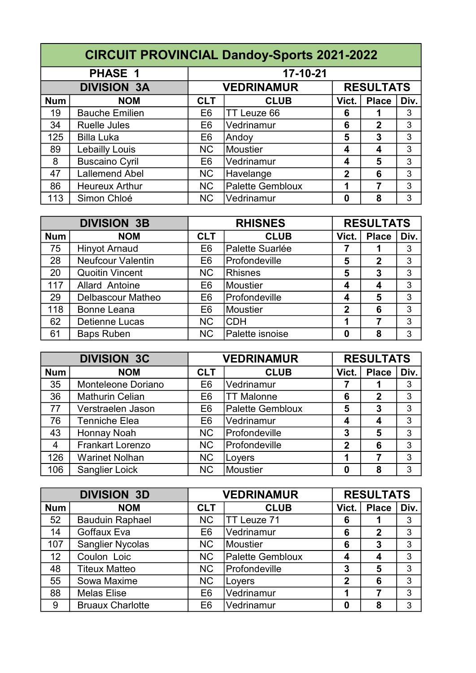|            | <b>CIRCUIT PROVINCIAL Dandoy-Sports 2021-2022</b> |                                       |                  |              |              |      |  |  |  |
|------------|---------------------------------------------------|---------------------------------------|------------------|--------------|--------------|------|--|--|--|
|            | <b>PHASE 1</b>                                    |                                       | 17-10-21         |              |              |      |  |  |  |
|            | <b>DIVISION 3A</b>                                | <b>RESULTATS</b><br><b>VEDRINAMUR</b> |                  |              |              |      |  |  |  |
| <b>Num</b> | <b>NOM</b>                                        | <b>CLT</b>                            | <b>CLUB</b>      | Vict.        | <b>Place</b> | Div. |  |  |  |
| 19         | <b>Bauche Emilien</b>                             | E <sub>6</sub>                        | TT Leuze 66      | 6            |              | 3    |  |  |  |
| 34         | <b>Ruelle Jules</b>                               | E <sub>6</sub>                        | Vedrinamur       | 6            | 2            | 3    |  |  |  |
| 125        | <b>Billa Luka</b>                                 | E <sub>6</sub>                        | Andoy            | 5            | 3            | 3    |  |  |  |
| 89         | Lebailly Louis                                    | <b>NC</b>                             | Moustier         | 4            | 4            | 3    |  |  |  |
| 8          | <b>Buscaino Cyril</b>                             | E <sub>6</sub>                        | Vedrinamur       | 4            | 5            | 3    |  |  |  |
| 47         | <b>Lallemend Abel</b>                             | <b>NC</b>                             | Havelange        | $\mathbf{2}$ | 6            | 3    |  |  |  |
| 86         | <b>Heureux Arthur</b>                             | <b>NC</b>                             | Palette Gembloux | 1            | 7            | 3    |  |  |  |
| 113        | Simon Chloé                                       | <b>NC</b>                             | Vedrinamur       | 0            | 8            | 3    |  |  |  |

|            | <b>DIVISION 3B</b>       |                | <b>RHISNES</b>  |                    | <b>RESULTATS</b> |      |  |
|------------|--------------------------|----------------|-----------------|--------------------|------------------|------|--|
| <b>Num</b> | <b>NOM</b>               | <b>CLT</b>     | <b>CLUB</b>     | Vict.              | <b>Place</b>     | Div. |  |
| 75         | <b>Hinyot Arnaud</b>     | E <sub>6</sub> | Palette Suarlée |                    |                  | 3    |  |
| 28         | <b>Neufcour Valentin</b> | E <sub>6</sub> | Profondeville   | 5                  | $\mathbf 2$      | 3    |  |
| 20         | <b>Quoitin Vincent</b>   | <b>NC</b>      | <b>Rhisnes</b>  | 5                  | 3                | 3    |  |
| 117        | <b>Allard Antoine</b>    | E <sub>6</sub> | <b>Moustier</b> | 4                  | 4                | 3    |  |
| 29         | Delbascour Matheo        | E <sub>6</sub> | Profondeville   | $\overline{\bf 4}$ | 5                | 3    |  |
| 118        | <b>Bonne Leana</b>       | E <sub>6</sub> | Moustier        | $\overline{2}$     | 6                | 3    |  |
| 62         | <b>Detienne Lucas</b>    | <b>NC</b>      | <b>CDH</b>      | 1                  |                  | 3    |  |
| 61         | <b>Baps Ruben</b>        | <b>NC</b>      | Palette isnoise | 0                  | 8                | 3    |  |

| <b>DIVISION 3C</b> |                        | <b>VEDRINAMUR</b> |                         | <b>RESULTATS</b> |              |      |
|--------------------|------------------------|-------------------|-------------------------|------------------|--------------|------|
| <b>Num</b>         | <b>NOM</b>             | <b>CLT</b>        | <b>CLUB</b>             | Vict.            | <b>Place</b> | Div. |
| 35                 | Monteleone Doriano     | E <sub>6</sub>    | Vedrinamur              |                  |              | 3    |
| 36                 | <b>Mathurin Celian</b> | E <sub>6</sub>    | <b>TT Malonne</b>       | 6                | $\mathbf 2$  | 3    |
| 77                 | Verstraelen Jason      | E <sub>6</sub>    | <b>Palette Gembloux</b> | 5                | 3            | 3    |
| 76                 | <b>Tenniche Elea</b>   | E <sub>6</sub>    | Vedrinamur              | 4                | 4            | 3    |
| 43                 | Honnay Noah            | <b>NC</b>         | Profondeville           | 3                | 5            | 3    |
| $\overline{4}$     | Frankart Lorenzo       | <b>NC</b>         | Profondeville           | $\mathbf{2}$     | 6            | 3    |
| 126                | <b>Warinet Nolhan</b>  | <b>NC</b>         | Loyers                  |                  |              | 3    |
| 106                | <b>Sanglier Loick</b>  | <b>NC</b>         | Moustier                | O                | 8            | 3    |

| <b>DIVISION 3D</b> |                         | <b>VEDRINAMUR</b> |                         | <b>RESULTATS</b> |              |      |
|--------------------|-------------------------|-------------------|-------------------------|------------------|--------------|------|
| <b>Num</b>         | <b>NOM</b>              | <b>CLT</b>        | <b>CLUB</b>             | Vict.            | <b>Place</b> | Div. |
| 52                 | <b>Bauduin Raphael</b>  | <b>NC</b>         | TT Leuze 71             | 6                |              | 3    |
| 14                 | Goffaux Eva             | E <sub>6</sub>    | Vedrinamur              | 6                | 2            | 3    |
| 107                | <b>Sanglier Nycolas</b> | <b>NC</b>         | Moustier                | 6                | 3            | 3    |
| 12                 | Coulon Loic             | <b>NC</b>         | <b>Palette Gembloux</b> | 4                | 4            | 3    |
| 48                 | <b>Titeux Matteo</b>    | <b>NC</b>         | Profondeville           | 3                | 5            | 3    |
| 55                 | Sowa Maxime             | <b>NC</b>         | Loyers                  | $\overline{2}$   | 6            | 3    |
| 88                 | <b>Melas Elise</b>      | E <sub>6</sub>    | Vedrinamur              |                  |              | 3    |
| 9                  | <b>Bruaux Charlotte</b> | E <sub>6</sub>    | Vedrinamur              | 0                | 8            | 3    |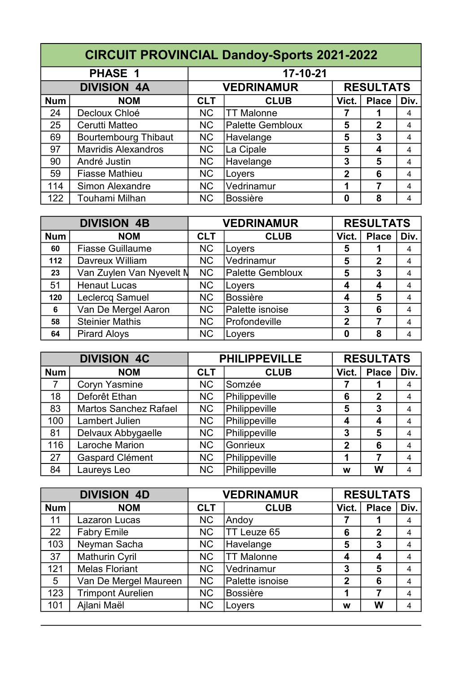|            | <b>CIRCUIT PROVINCIAL Dandoy-Sports 2021-2022</b> |                                       |                   |              |              |      |  |  |  |
|------------|---------------------------------------------------|---------------------------------------|-------------------|--------------|--------------|------|--|--|--|
|            | <b>PHASE 1</b>                                    |                                       | 17-10-21          |              |              |      |  |  |  |
|            | <b>DIVISION 4A</b>                                | <b>RESULTATS</b><br><b>VEDRINAMUR</b> |                   |              |              |      |  |  |  |
| <b>Num</b> | <b>NOM</b>                                        | <b>CLT</b>                            | <b>CLUB</b>       | Vict.        | <b>Place</b> | Div. |  |  |  |
| 24         | Decloux Chloé                                     | <b>NC</b>                             | <b>TT Malonne</b> |              |              | 4    |  |  |  |
| 25         | Cerutti Matteo                                    | <b>NC</b>                             | Palette Gembloux  | 5            | $\mathbf 2$  | 4    |  |  |  |
| 69         | <b>Bourtembourg Thibaut</b>                       | <b>NC</b>                             | Havelange         | 5            | 3            | 4    |  |  |  |
| 97         | <b>Mavridis Alexandros</b>                        | <b>NC</b>                             | La Cipale         | 5            | 4            | 4    |  |  |  |
| 90         | André Justin                                      | <b>NC</b>                             | Havelange         | 3            | 5            | 4    |  |  |  |
| 59         | <b>Fiasse Mathieu</b>                             | <b>NC</b>                             | Loyers            | $\mathbf{2}$ | 6            | 4    |  |  |  |
| 114        | <b>Simon Alexandre</b>                            | <b>NC</b>                             | Vedrinamur        | 1            | 7            | 4    |  |  |  |
| 122        | Touhami Milhan                                    | <b>NC</b>                             | IBossière         | 0            | 8            | 4    |  |  |  |

| <b>DIVISION 4B</b> |                          | <b>VEDRINAMUR</b> |                  | <b>RESULTATS</b> |              |      |
|--------------------|--------------------------|-------------------|------------------|------------------|--------------|------|
| <b>Num</b>         | <b>NOM</b>               | <b>CLT</b>        | <b>CLUB</b>      | Vict.            | <b>Place</b> | Div. |
| 60                 | <b>Fiasse Guillaume</b>  | <b>NC</b>         | Loyers           | 5                |              | 4    |
| 112                | Davreux William          | <b>NC</b>         | Vedrinamur       | 5                | $\mathbf 2$  | 4    |
| 23                 | Van Zuylen Van Nyevelt N | <b>NC</b>         | Palette Gembloux | 5                | 3            | 4    |
| 51                 | <b>Henaut Lucas</b>      | <b>NC</b>         | Loyers           | 4                | 4            | 4    |
| 120                | Leclercq Samuel          | <b>NC</b>         | Bossière         | $\boldsymbol{4}$ | 5            | 4    |
| 6                  | Van De Mergel Aaron      | <b>NC</b>         | Palette isnoise  | 3                | 6            | 4    |
| 58                 | <b>Steinier Mathis</b>   | <b>NC</b>         | Profondeville    | $\overline{2}$   |              | 4    |
| 64                 | <b>Pirard Aloys</b>      | <b>NC</b>         | Loyers           | 0                | 8            | 4    |

|            | <b>DIVISION 4C</b>           |            | <b>PHILIPPEVILLE</b> |                    | <b>RESULTATS</b> |      |  |
|------------|------------------------------|------------|----------------------|--------------------|------------------|------|--|
| <b>Num</b> | <b>NOM</b>                   | <b>CLT</b> | <b>CLUB</b>          | Vict.              | <b>Place</b>     | Div. |  |
| 7          | <b>Coryn Yasmine</b>         | <b>NC</b>  | Somzée               |                    |                  | 4    |  |
| 18         | Deforêt Ethan                | <b>NC</b>  | Philippeville        | 6                  | $\mathbf 2$      | 4    |  |
| 83         | <b>Martos Sanchez Rafael</b> | <b>NC</b>  | Philippeville        | 5                  | 3                | 4    |  |
| 100        | Lambert Julien               | <b>NC</b>  | Philippeville        | $\overline{\bf 4}$ | 4                | 4    |  |
| 81         | Delvaux Abbygaelle           | <b>NC</b>  | Philippeville        | 3                  | 5                | 4    |  |
| 116        | Laroche Marion               | <b>NC</b>  | Gonrieux             | $\mathbf{2}$       | 6                | 4    |  |
| 27         | <b>Gaspard Clément</b>       | <b>NC</b>  | Philippeville        | 1                  |                  | 4    |  |
| 84         | Laureys Leo                  | <b>NC</b>  | Philippeville        | W                  | W                | 4    |  |

| <b>DIVISION 4D</b> |                          | <b>VEDRINAMUR</b> |                   | <b>RESULTATS</b> |              |      |
|--------------------|--------------------------|-------------------|-------------------|------------------|--------------|------|
| <b>Num</b>         | <b>NOM</b>               | <b>CLT</b>        | <b>CLUB</b>       | Vict.            | <b>Place</b> | Div. |
| 11                 | Lazaron Lucas            | <b>NC</b>         | Andoy             |                  |              | 4    |
| 22                 | <b>Fabry Emile</b>       | <b>NC</b>         | TT Leuze 65       | 6                | $\mathbf{2}$ | 4    |
| 103                | Neyman Sacha             | <b>NC</b>         | Havelange         | 5                | 3            | 4    |
| 37                 | <b>Mathurin Cyril</b>    | <b>NC</b>         | <b>TT Malonne</b> | 4                | 4            | 4    |
| 121                | <b>Melas Floriant</b>    | <b>NC</b>         | Vedrinamur        | 3                | 5            | 4    |
| 5                  | Van De Mergel Maureen    | <b>NC</b>         | Palette isnoise   | $\overline{2}$   | 6            | 4    |
| 123                | <b>Trimpont Aurelien</b> | <b>NC</b>         | <b>Bossière</b>   | 1                |              | 4    |
| 101                | Ajlani Maël              | <b>NC</b>         | Loyers            | W                | W            | 4    |